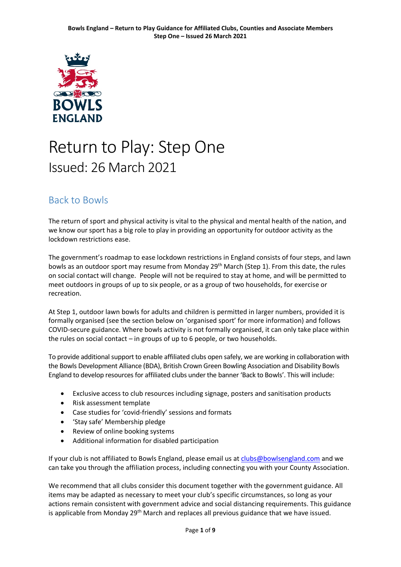

# Return to Play: Step One Issued: 26 March 2021

### <span id="page-0-0"></span>Back to Bowls

The return of sport and physical activity is vital to the physical and mental health of the nation, and we know our sport has a big role to play in providing an opportunity for outdoor activity as the lockdown restrictions ease.

The government's roadmap to ease lockdown restrictions in England consists of four steps, and lawn bowls as an outdoor sport may resume from Monday  $29<sup>th</sup>$  March (Step 1). From this date, the rules on social contact will change. People will not be required to stay at home, and will be permitted to meet outdoors in groups of up to six people, or as a group of two households, for exercise or recreation.

At Step 1, outdoor lawn bowls for adults and children is permitted in larger numbers, provided it is formally organised (see the section below on 'organised sport' for more information) and follows COVID-secure guidance. Where bowls activity is not formally organised, it can only take place within the rules on social contact – in groups of up to 6 people, or two households.

To provide additional support to enable affiliated clubs open safely, we are working in collaboration with the Bowls Development Alliance (BDA), British Crown Green Bowling Association and Disability Bowls England to develop resources for affiliated clubs under the banner 'Back to Bowls'. This will include:

- Exclusive access to club resources including signage, posters and sanitisation products
- Risk assessment template
- Case studies for 'covid-friendly' sessions and formats
- 'Stay safe' Membership pledge
- Review of online booking systems
- Additional information for disabled participation

If your club is not affiliated to Bowls England, please email us at [clubs@bowlsengland.com](mailto:clubs@bowlsengland.com) and we can take you through the affiliation process, including connecting you with your County Association.

We recommend that all clubs consider this document together with the government guidance. All items may be adapted as necessary to meet your club's specific circumstances, so long as your actions remain consistent with government advice and social distancing requirements. This guidance is applicable from Monday 29<sup>th</sup> March and replaces all previous guidance that we have issued.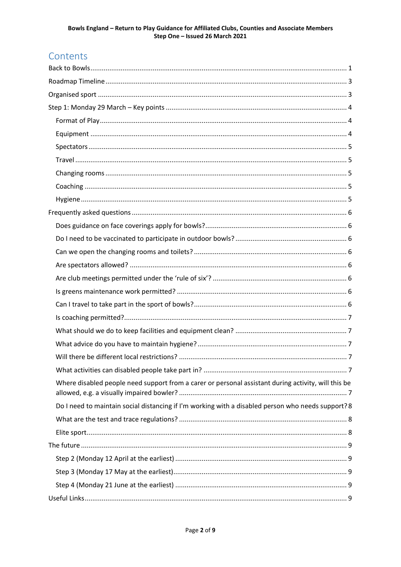## Contents

| Where disabled people need support from a carer or personal assistant during activity, will this be |  |
|-----------------------------------------------------------------------------------------------------|--|
| Do I need to maintain social distancing if I'm working with a disabled person who needs support? 8  |  |
|                                                                                                     |  |
|                                                                                                     |  |
|                                                                                                     |  |
|                                                                                                     |  |
|                                                                                                     |  |
|                                                                                                     |  |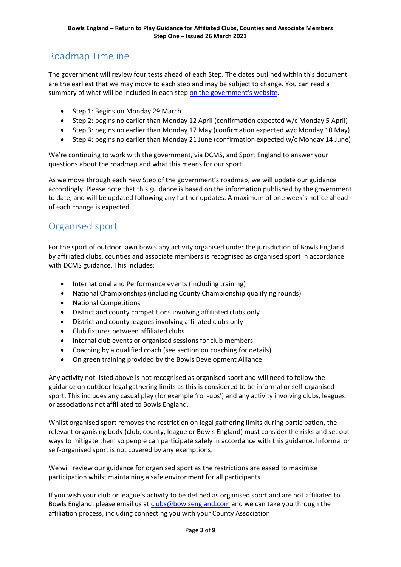# <span id="page-2-0"></span>Roadmap Timeline

The government will review four tests ahead of each Step. The dates outlined within this document are the earliest that we may move to each step and may be subject to change. You can read a summary of what will be included in each step [on the government's website.](https://www.gov.uk/government/news/prime-minister-sets-out-roadmap-to-cautiously-ease-lockdown-restrictions)

- Step 1: Begins on Monday 29 March
- Step 2: begins no earlier than Monday 12 April (confirmation expected w/c Monday 5 April)
- Step 3: begins no earlier than Monday 17 May (confirmation expected w/c Monday 10 May)
- Step 4: begins no earlier than Monday 21 June (confirmation expected w/c Monday 14 June)

We're continuing to work with the government, via DCMS, and Sport England to answer your questions about the roadmap and what this means for our sport.

As we move through each new Step of the government's roadmap, we will update our guidance accordingly. Please note that this guidance is based on the information published by the government to date, and will be updated following any further updates. A maximum of one week's notice ahead of each change is expected.

### <span id="page-2-1"></span>Organised sport

For the sport of outdoor lawn bowls any activity organised under the jurisdiction of Bowls England by affiliated clubs, counties and associate members is recognised as organised sport in accordance with DCMS guidance. This includes:

- International and Performance events (including training)
- National Championships (including County Championship qualifying rounds)
- National Competitions
- District and county competitions involving affiliated clubs only
- District and county leagues involving affiliated clubs only
- Club fixtures between affiliated clubs
- Internal club events or organised sessions for club members
- Coaching by a qualified coach (see section on coaching for details)
- On green training provided by the Bowls Development Alliance

Any activity not listed above is not recognised as organised sport and will need to follow the guidance on outdoor legal gathering limits as this is considered to be informal or self-organised sport. This includes any casual play (for example 'roll-ups') and any activity involving clubs, leagues or associations not affiliated to Bowls England.

Whilst organised sport removes the restriction on legal gathering limits during participation, the relevant organising body (club, county, league or Bowls England) must consider the risks and set out ways to mitigate them so people can participate safely in accordance with this guidance. Informal or self-organised sport is not covered by any exemptions.

We will review our guidance for organised sport as the restrictions are eased to maximise participation whilst maintaining a safe environment for all participants.

If you wish your club or league's activity to be defined as organised sport and are not affiliated to Bowls England, please email us at [clubs@bowlsengland.com](mailto:clubs@bowlsengland.com) and we can take you through the affiliation process, including connecting you with your County Association.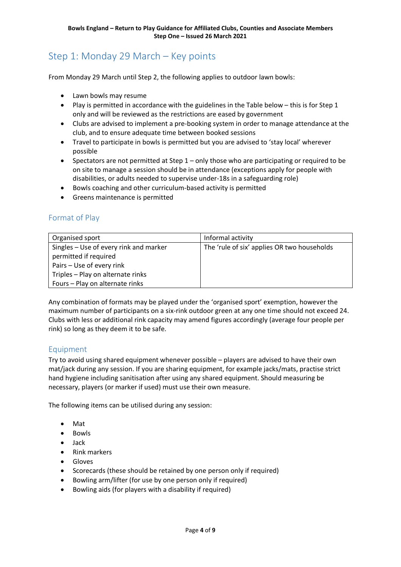### <span id="page-3-0"></span>Step 1: Monday 29 March – Key points

From Monday 29 March until Step 2, the following applies to outdoor lawn bowls:

- Lawn bowls may resume
- Play is permitted in accordance with the guidelines in the Table below this is for Step 1 only and will be reviewed as the restrictions are eased by government
- Clubs are advised to implement a pre-booking system in order to manage attendance at the club, and to ensure adequate time between booked sessions
- Travel to participate in bowls is permitted but you are advised to 'stay local' wherever possible
- Spectators are not permitted at Step  $1 -$  only those who are participating or required to be on site to manage a session should be in attendance (exceptions apply for people with disabilities, or adults needed to supervise under-18s in a safeguarding role)
- Bowls coaching and other curriculum-based activity is permitted
- Greens maintenance is permitted

#### <span id="page-3-1"></span>Format of Play

| Organised sport                        | Informal activity                           |
|----------------------------------------|---------------------------------------------|
| Singles – Use of every rink and marker | The 'rule of six' applies OR two households |
| permitted if required                  |                                             |
| Pairs - Use of every rink              |                                             |
| Triples - Play on alternate rinks      |                                             |
| Fours - Play on alternate rinks        |                                             |

Any combination of formats may be played under the 'organised sport' exemption, however the maximum number of participants on a six-rink outdoor green at any one time should not exceed 24. Clubs with less or additional rink capacity may amend figures accordingly (average four people per rink) so long as they deem it to be safe.

#### <span id="page-3-2"></span>Equipment

Try to avoid using shared equipment whenever possible – players are advised to have their own mat/jack during any session. If you are sharing equipment, for example jacks/mats, practise strict hand hygiene including sanitisation after using any shared equipment. Should measuring be necessary, players (or marker if used) must use their own measure.

The following items can be utilised during any session:

- Mat
- Bowls
- Jack
- Rink markers
- Gloves
- Scorecards (these should be retained by one person only if required)
- Bowling arm/lifter (for use by one person only if required)
- Bowling aids (for players with a disability if required)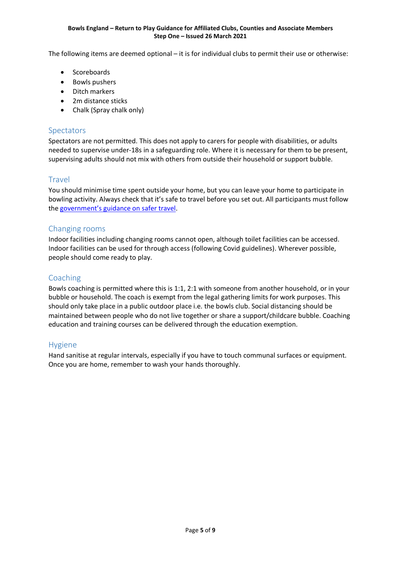#### **Bowls England – Return to Play Guidance for Affiliated Clubs, Counties and Associate Members Step One – Issued 26 March 2021**

The following items are deemed optional – it is for individual clubs to permit their use or otherwise:

- Scoreboards
- Bowls pushers
- Ditch markers
- 2m distance sticks
- Chalk (Spray chalk only)

#### <span id="page-4-0"></span>Spectators

Spectators are not permitted. This does not apply to carers for people with disabilities, or adults needed to supervise under-18s in a safeguarding role. Where it is necessary for them to be present, supervising adults should not mix with others from outside their household or support bubble.

#### <span id="page-4-1"></span>**Travel**

You should minimise time spent outside your home, but you can leave your home to participate in bowling activity. Always check that it's safe to travel before you set out. All participants must follow the [government's guidance on safer travel.](https://www.gov.uk/guidance/coronavirus-covid-19-safer-travel-guidance-for-passengers#private-cars-and-other-vehicles)

#### <span id="page-4-2"></span>Changing rooms

Indoor facilities including changing rooms cannot open, although toilet facilities can be accessed. Indoor facilities can be used for through access (following Covid guidelines). Wherever possible, people should come ready to play.

#### <span id="page-4-3"></span>Coaching

Bowls coaching is permitted where this is 1:1, 2:1 with someone from another household, or in your bubble or household. The coach is exempt from the legal gathering limits for work purposes. This should only take place in a public outdoor place i.e. the bowls club. Social distancing should be maintained between people who do not live together or share a support/childcare bubble. Coaching education and training courses can be delivered through the education exemption.

#### <span id="page-4-4"></span>Hygiene

Hand sanitise at regular intervals, especially if you have to touch communal surfaces or equipment. Once you are home, remember to wash your hands thoroughly.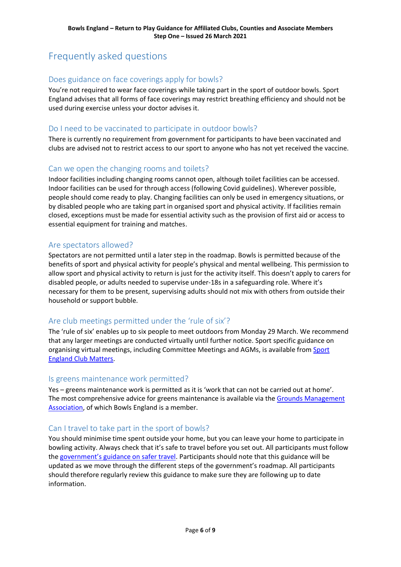# <span id="page-5-0"></span>Frequently asked questions

#### <span id="page-5-1"></span>Does guidance on face coverings apply for bowls?

You're not required to wear face coverings while taking part in the sport of outdoor bowls. Sport England advises that all forms of face coverings may restrict breathing efficiency and should not be used during exercise unless your doctor advises it.

#### <span id="page-5-2"></span>Do I need to be vaccinated to participate in outdoor bowls?

There is currently no requirement from government for participants to have been vaccinated and clubs are advised not to restrict access to our sport to anyone who has not yet received the vaccine.

#### <span id="page-5-3"></span>Can we open the changing rooms and toilets?

Indoor facilities including changing rooms cannot open, although toilet facilities can be accessed. Indoor facilities can be used for through access (following Covid guidelines). Wherever possible, people should come ready to play. Changing facilities can only be used in emergency situations, or by disabled people who are taking part in organised sport and physical activity. If facilities remain closed, exceptions must be made for essential activity such as the provision of first aid or access to essential equipment for training and matches.

#### <span id="page-5-4"></span>Are spectators allowed?

Spectators are not permitted until a later step in the roadmap. Bowls is permitted because of the benefits of sport and physical activity for people's physical and mental wellbeing. This permission to allow sport and physical activity to return is just for the activity itself. This doesn't apply to carers for disabled people, or adults needed to supervise under-18s in a safeguarding role. Where it's necessary for them to be present, supervising adults should not mix with others from outside their household or support bubble.

#### <span id="page-5-5"></span>Are club meetings permitted under the 'rule of six'?

The 'rule of six' enables up to six people to meet outdoors from Monday 29 March. We recommend that any larger meetings are conducted virtually until further notice. Sport specific guidance on organising virtual meetings, including Committee Meetings and AGMs, is available from Sport [England Club Matters.](https://www.sportenglandclubmatters.com/)

#### <span id="page-5-6"></span>Is greens maintenance work permitted?

Yes – greens maintenance work is permitted as it is 'work that can not be carried out at home'. The most comprehensive advice for greens maintenance is available via the [Grounds Management](https://thegma.org.uk/guidance-volunteer-grounds-staff)  [Association,](https://thegma.org.uk/guidance-volunteer-grounds-staff) of which Bowls England is a member.

#### <span id="page-5-7"></span>Can I travel to take part in the sport of bowls?

You should minimise time spent outside your home, but you can leave your home to participate in bowling activity. Always check that it's safe to travel before you set out. All participants must follow the [government's guidance on safer travel.](https://www.gov.uk/guidance/coronavirus-covid-19-safer-travel-guidance-for-passengers#private-cars-and-other-vehicles) Participants should note that this guidance will be updated as we move through the different steps of the government's roadmap. All participants should therefore regularly review this guidance to make sure they are following up to date information.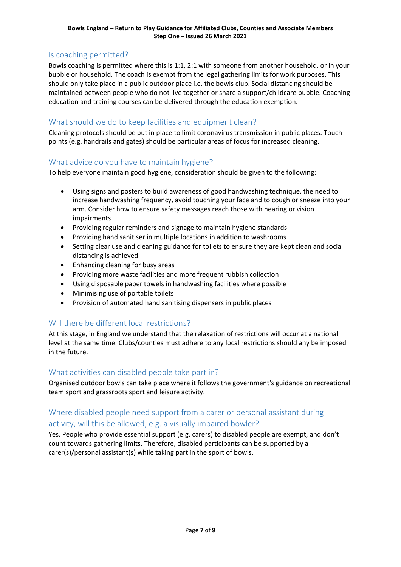#### **Bowls England – Return to Play Guidance for Affiliated Clubs, Counties and Associate Members Step One – Issued 26 March 2021**

#### <span id="page-6-0"></span>Is coaching permitted?

Bowls coaching is permitted where this is 1:1, 2:1 with someone from another household, or in your bubble or household. The coach is exempt from the legal gathering limits for work purposes. This should only take place in a public outdoor place i.e. the bowls club. Social distancing should be maintained between people who do not live together or share a support/childcare bubble. Coaching education and training courses can be delivered through the education exemption.

#### <span id="page-6-1"></span>What should we do to keep facilities and equipment clean?

Cleaning protocols should be put in place to limit coronavirus transmission in public places. Touch points (e.g. handrails and gates) should be particular areas of focus for increased cleaning.

#### <span id="page-6-2"></span>What advice do you have to maintain hygiene?

To help everyone maintain good hygiene, consideration should be given to the following:

- Using signs and posters to build awareness of good handwashing technique, the need to increase handwashing frequency, avoid touching your face and to cough or sneeze into your arm. Consider how to ensure safety messages reach those with hearing or vision impairments
- Providing regular reminders and signage to maintain hygiene standards
- Providing hand sanitiser in multiple locations in addition to washrooms
- Setting clear use and cleaning guidance for toilets to ensure they are kept clean and social distancing is achieved
- Enhancing cleaning for busy areas
- Providing more waste facilities and more frequent rubbish collection
- Using disposable paper towels in handwashing facilities where possible
- Minimising use of portable toilets
- Provision of automated hand sanitising dispensers in public places

#### <span id="page-6-3"></span>Will there be different local restrictions?

At this stage, in England we understand that the relaxation of restrictions will occur at a national level at the same time. Clubs/counties must adhere to any local restrictions should any be imposed in the future.

#### <span id="page-6-4"></span>What activities can disabled people take part in?

Organised outdoor bowls can take place where it follows the government's guidance on recreational team sport and grassroots sport and leisure activity.

### <span id="page-6-5"></span>Where disabled people need support from a carer or personal assistant during

#### activity, will this be allowed, e.g. a visually impaired bowler?

Yes. People who provide essential support (e.g. carers) to disabled people are exempt, and don't count towards gathering limits. Therefore, disabled participants can be supported by a carer(s)/personal assistant(s) while taking part in the sport of bowls.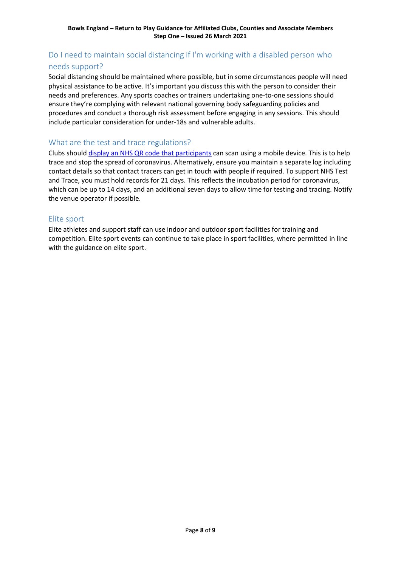### <span id="page-7-0"></span>Do I need to maintain social distancing if I'm working with a disabled person who needs support?

Social distancing should be maintained where possible, but in some circumstances people will need physical assistance to be active. It's important you discuss this with the person to consider their needs and preferences. Any sports coaches or trainers undertaking one-to-one sessions should ensure they're complying with relevant national governing body safeguarding policies and procedures and conduct a thorough risk assessment before engaging in any sessions. This should include particular consideration for under-18s and vulnerable adults. 

#### <span id="page-7-1"></span>What are the test and trace regulations?

Clubs should [display an NHS QR code that participants](https://www.gov.uk/create-coronavirus-qr-poster) can scan using a mobile device. This is to help trace and stop the spread of coronavirus. Alternatively, ensure you maintain a separate log including contact details so that contact tracers can get in touch with people if required. To support NHS Test and Trace, you must hold records for 21 days. This reflects the incubation period for coronavirus, which can be up to 14 days, and an additional seven days to allow time for testing and tracing. Notify the venue operator if possible.

#### <span id="page-7-2"></span>Elite sport

Elite athletes and support staff can use indoor and outdoor sport facilities for training and competition. Elite sport events can continue to take place in sport facilities, where permitted in line with the guidance on elite sport.